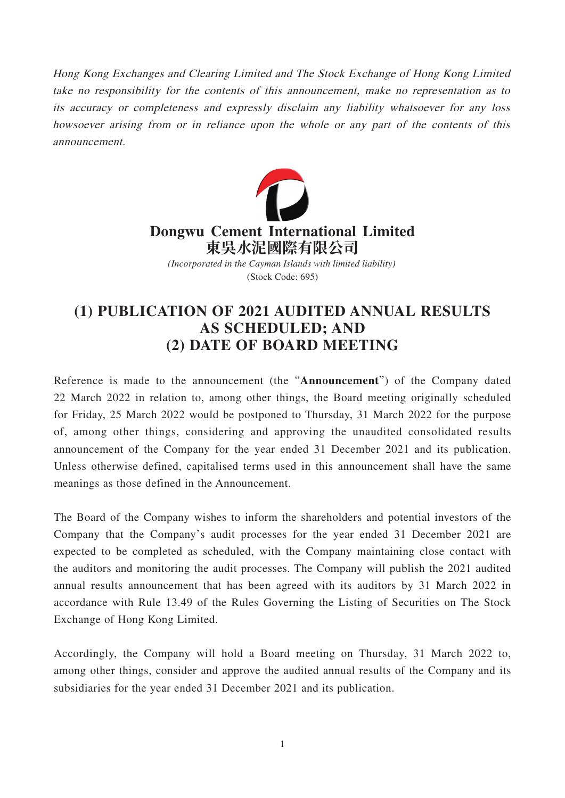Hong Kong Exchanges and Clearing Limited and The Stock Exchange of Hong Kong Limited take no responsibility for the contents of this announcement, make no representation as to its accuracy or completeness and expressly disclaim any liability whatsoever for any loss howsoever arising from or in reliance upon the whole or any part of the contents of this announcement.



## **(1) PUBLICATION OF 2021 AUDITED ANNUAL RESULTS AS SCHEDULED; AND (2) DATE OF BOARD MEETING**

Reference is made to the announcement (the "**Announcement**") of the Company dated 22 March 2022 in relation to, among other things, the Board meeting originally scheduled for Friday, 25 March 2022 would be postponed to Thursday, 31 March 2022 for the purpose of, among other things, considering and approving the unaudited consolidated results announcement of the Company for the year ended 31 December 2021 and its publication. Unless otherwise defined, capitalised terms used in this announcement shall have the same meanings as those defined in the Announcement.

The Board of the Company wishes to inform the shareholders and potential investors of the Company that the Company's audit processes for the year ended 31 December 2021 are expected to be completed as scheduled, with the Company maintaining close contact with the auditors and monitoring the audit processes. The Company will publish the 2021 audited annual results announcement that has been agreed with its auditors by 31 March 2022 in accordance with Rule 13.49 of the Rules Governing the Listing of Securities on The Stock Exchange of Hong Kong Limited.

Accordingly, the Company will hold a Board meeting on Thursday, 31 March 2022 to, among other things, consider and approve the audited annual results of the Company and its subsidiaries for the year ended 31 December 2021 and its publication.